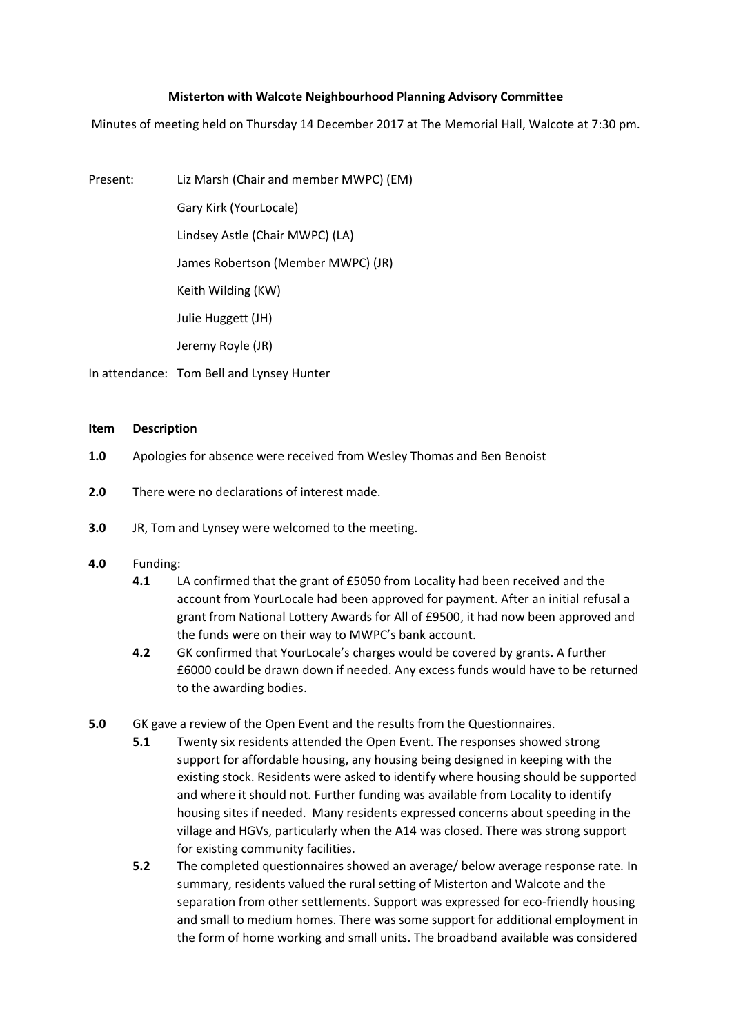## **Misterton with Walcote Neighbourhood Planning Advisory Committee**

Minutes of meeting held on Thursday 14 December 2017 at The Memorial Hall, Walcote at 7:30 pm.

Present: Liz Marsh (Chair and member MWPC) (EM)

Gary Kirk (YourLocale)

Lindsey Astle (Chair MWPC) (LA)

James Robertson (Member MWPC) (JR)

Keith Wilding (KW)

Julie Huggett (JH)

Jeremy Royle (JR)

In attendance: Tom Bell and Lynsey Hunter

## **Item Description**

- **1.0** Apologies for absence were received from Wesley Thomas and Ben Benoist
- **2.0** There were no declarations of interest made.
- **3.0** JR, Tom and Lynsey were welcomed to the meeting.

## **4.0** Funding:

- **4.1** LA confirmed that the grant of £5050 from Locality had been received and the account from YourLocale had been approved for payment. After an initial refusal a grant from National Lottery Awards for All of £9500, it had now been approved and the funds were on their way to MWPC's bank account.
- **4.2** GK confirmed that YourLocale's charges would be covered by grants. A further £6000 could be drawn down if needed. Any excess funds would have to be returned to the awarding bodies.
- **5.0** GK gave a review of the Open Event and the results from the Questionnaires.
	- **5.1** Twenty six residents attended the Open Event. The responses showed strong support for affordable housing, any housing being designed in keeping with the existing stock. Residents were asked to identify where housing should be supported and where it should not. Further funding was available from Locality to identify housing sites if needed. Many residents expressed concerns about speeding in the village and HGVs, particularly when the A14 was closed. There was strong support for existing community facilities.
	- **5.2** The completed questionnaires showed an average/ below average response rate. In summary, residents valued the rural setting of Misterton and Walcote and the separation from other settlements. Support was expressed for eco-friendly housing and small to medium homes. There was some support for additional employment in the form of home working and small units. The broadband available was considered